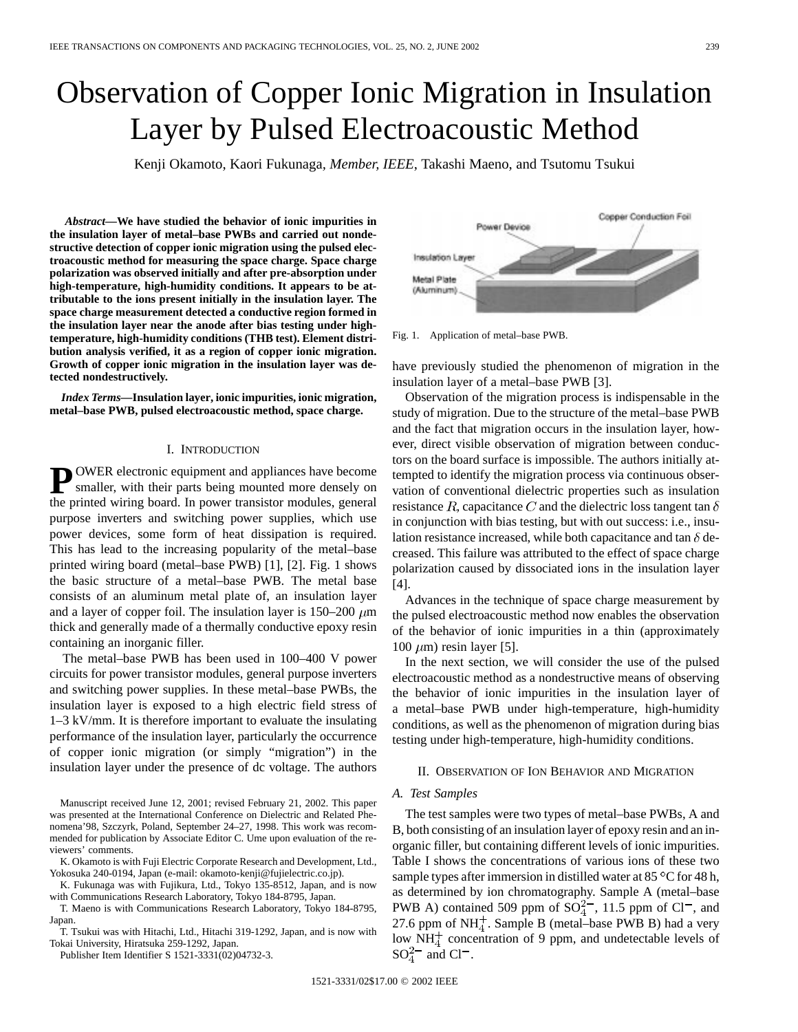# Observation of Copper Ionic Migration in Insulation Layer by Pulsed Electroacoustic Method

Kenji Okamoto, Kaori Fukunaga*, Member, IEEE*, Takashi Maeno, and Tsutomu Tsukui

*Abstract—***We have studied the behavior of ionic impurities in the insulation layer of metal–base PWBs and carried out nondestructive detection of copper ionic migration using the pulsed electroacoustic method for measuring the space charge. Space charge polarization was observed initially and after pre-absorption under high-temperature, high-humidity conditions. It appears to be attributable to the ions present initially in the insulation layer. The space charge measurement detected a conductive region formed in the insulation layer near the anode after bias testing under hightemperature, high-humidity conditions (THB test). Element distribution analysis verified, it as a region of copper ionic migration. Growth of copper ionic migration in the insulation layer was detected nondestructively.**

*Index Terms—***Insulation layer, ionic impurities, ionic migration, metal–base PWB, pulsed electroacoustic method, space charge.**

#### I. INTRODUCTION

**P** OWER electronic equipment and appliances have become smaller, with their parts being mounted more densely on the printed wiring board. In power transistor modules, general purpose inverters and switching power supplies, which use power devices, some form of heat dissipation is required. This has lead to the increasing popularity of the metal–base printed wiring board (metal–base PWB) [1], [2]. Fig. 1 shows the basic structure of a metal–base PWB. The metal base consists of an aluminum metal plate of, an insulation layer and a layer of copper foil. The insulation layer is  $150-200 \ \mu m$ thick and generally made of a thermally conductive epoxy resin containing an inorganic filler.

The metal–base PWB has been used in 100–400 V power circuits for power transistor modules, general purpose inverters and switching power supplies. In these metal–base PWBs, the insulation layer is exposed to a high electric field stress of 1–3 kV/mm. It is therefore important to evaluate the insulating performance of the insulation layer, particularly the occurrence of copper ionic migration (or simply "migration") in the insulation layer under the presence of dc voltage. The authors

Manuscript received June 12, 2001; revised February 21, 2002. This paper was presented at the International Conference on Dielectric and Related Phenomena'98, Szczyrk, Poland, September 24–27, 1998. This work was recommended for publication by Associate Editor C. Ume upon evaluation of the reviewers' comments.

K. Okamoto is with Fuji Electric Corporate Research and Development, Ltd., Yokosuka 240-0194, Japan (e-mail: okamoto-kenji@fujielectric.co.jp).

K. Fukunaga was with Fujikura, Ltd., Tokyo 135-8512, Japan, and is now with Communications Research Laboratory, Tokyo 184-8795, Japan.

T. Maeno is with Communications Research Laboratory, Tokyo 184-8795, Japan.

T. Tsukui was with Hitachi, Ltd., Hitachi 319-1292, Japan, and is now with Tokai University, Hiratsuka 259-1292, Japan.

Publisher Item Identifier S 1521-3331(02)04732-3.



Fig. 1. Application of metal–base PWB.

have previously studied the phenomenon of migration in the insulation layer of a metal–base PWB [3].

Observation of the migration process is indispensable in the study of migration. Due to the structure of the metal–base PWB and the fact that migration occurs in the insulation layer, however, direct visible observation of migration between conductors on the board surface is impossible. The authors initially attempted to identify the migration process via continuous observation of conventional dielectric properties such as insulation resistance R, capacitance C and the dielectric loss tangent tan  $\delta$ in conjunction with bias testing, but with out success: i.e., insulation resistance increased, while both capacitance and tan  $\delta$  decreased. This failure was attributed to the effect of space charge polarization caused by dissociated ions in the insulation layer [4].

Advances in the technique of space charge measurement by the pulsed electroacoustic method now enables the observation of the behavior of ionic impurities in a thin (approximately 100  $\mu$ m) resin layer [5].

In the next section, we will consider the use of the pulsed electroacoustic method as a nondestructive means of observing the behavior of ionic impurities in the insulation layer of a metal–base PWB under high-temperature, high-humidity conditions, as well as the phenomenon of migration during bias testing under high-temperature, high-humidity conditions.

## II. OBSERVATION OF ION BEHAVIOR AND MIGRATION

# *A. Test Samples*

The test samples were two types of metal–base PWBs, A and B, both consisting of an insulation layer of epoxy resin and an inorganic filler, but containing different levels of ionic impurities. Table I shows the concentrations of various ions of these two sample types after immersion in distilled water at  $85^{\circ}$ C for 48 h, as determined by ion chromatography. Sample A (metal–base PWB A) contained 509 ppm of  $SO_4^{2-}$ , 11.5 ppm of Cl<sup>-</sup>, and 27.6 ppm of  $NH<sub>4</sub><sup>+</sup>$ . Sample B (metal–base PWB B) had a very low  $NH<sub>4</sub><sup>+</sup>$  concentration of 9 ppm, and undetectable levels of  $SO_4^{2-}$  and Cl<sup>-</sup>.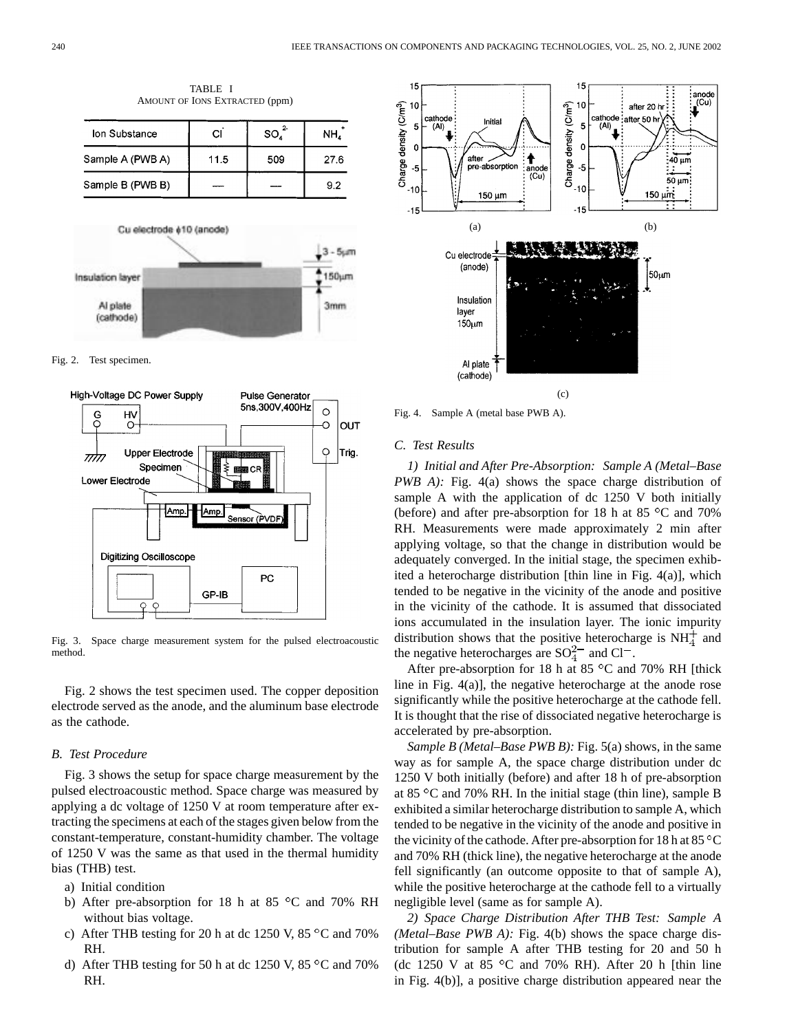

TABLE I AMOUNT OF IONS EXTRACTED (ppm)





Fig. 3. Space charge measurement system for the pulsed electroacoustic method.

Fig. 2 shows the test specimen used. The copper deposition electrode served as the anode, and the aluminum base electrode as the cathode.

# *B. Test Procedure*

Fig. 3 shows the setup for space charge measurement by the pulsed electroacoustic method. Space charge was measured by applying a dc voltage of 1250 V at room temperature after extracting the specimens at each of the stages given below from the constant-temperature, constant-humidity chamber. The voltage of 1250 V was the same as that used in the thermal humidity bias (THB) test.

- a) Initial condition
- b) After pre-absorption for 18 h at 85  $^{\circ}$ C and 70% RH without bias voltage.
- c) After THB testing for 20 h at dc 1250 V, 85  $\degree$ C and 70% RH.
- d) After THB testing for 50 h at dc 1250 V, 85  $\degree$ C and 70% RH.



Fig. 4. Sample A (metal base PWB A).

## *C. Test Results*

*1) Initial and After Pre-Absorption: Sample A (Metal–Base PWB A):* Fig. 4(a) shows the space charge distribution of sample A with the application of dc 1250 V both initially (before) and after pre-absorption for 18 h at 85  $\degree$ C and 70% RH. Measurements were made approximately 2 min after applying voltage, so that the change in distribution would be adequately converged. In the initial stage, the specimen exhibited a heterocharge distribution [thin line in Fig. 4(a)], which tended to be negative in the vicinity of the anode and positive in the vicinity of the cathode. It is assumed that dissociated ions accumulated in the insulation layer. The ionic impurity distribution shows that the positive heterocharge is  $NH<sub>4</sub><sup>+</sup>$  and the negative heterocharges are  $SO_4^{2-}$  and Cl<sup>-</sup>.

After pre-absorption for 18 h at 85  $^{\circ}$ C and 70% RH [thick line in Fig. 4(a)], the negative heterocharge at the anode rose significantly while the positive heterocharge at the cathode fell. It is thought that the rise of dissociated negative heterocharge is accelerated by pre-absorption.

*Sample B (Metal–Base PWB B):* Fig. 5(a) shows, in the same way as for sample A, the space charge distribution under dc 1250 V both initially (before) and after 18 h of pre-absorption at 85  $\degree$ C and 70% RH. In the initial stage (thin line), sample B exhibited a similar heterocharge distribution to sample A, which tended to be negative in the vicinity of the anode and positive in the vicinity of the cathode. After pre-absorption for 18 h at  $85^{\circ}$ C and 70% RH (thick line), the negative heterocharge at the anode fell significantly (an outcome opposite to that of sample A), while the positive heterocharge at the cathode fell to a virtually negligible level (same as for sample A).

*2) Space Charge Distribution After THB Test: Sample A (Metal–Base PWB A):* Fig. 4(b) shows the space charge distribution for sample A after THB testing for 20 and 50 h (dc 1250 V at 85 $\degree$ C and 70% RH). After 20 h [thin line in Fig. 4(b)], a positive charge distribution appeared near the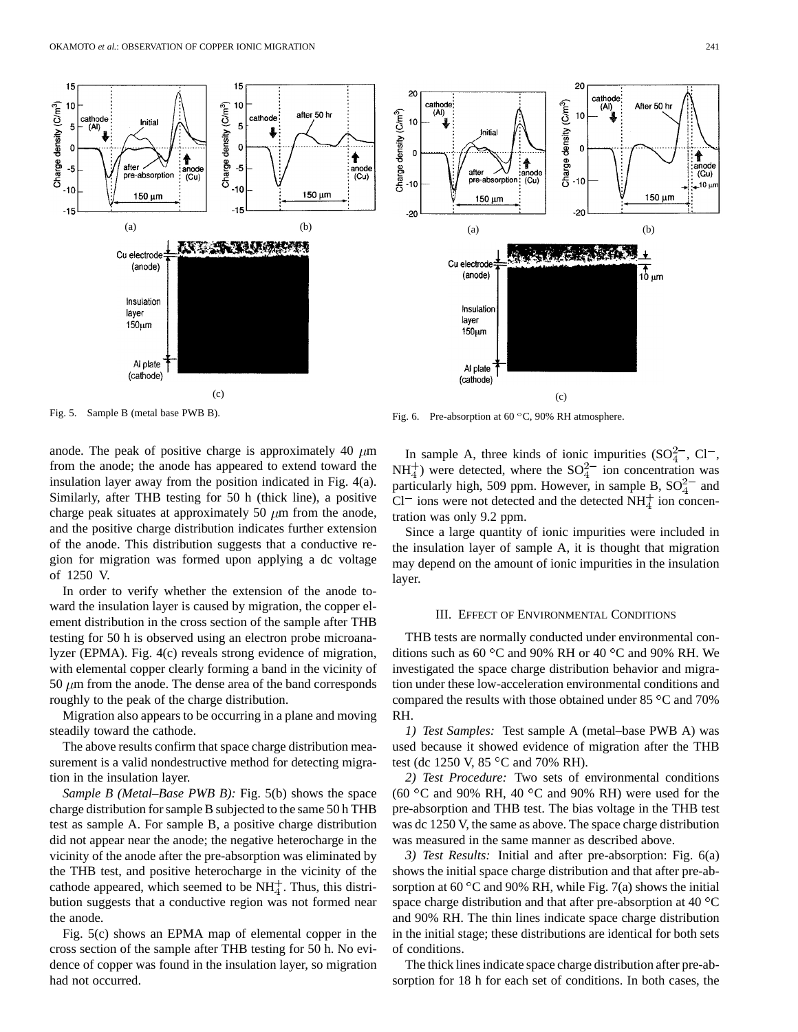Initial

pre-absorption

150 um

Cu electrode

(anode)

Insulation

Al plate

(cathode)

laver

150um

after

15

10

5  $\overline{(\Lambda)}$ 

 $\mathbf 0$ 

-5

 $-10$ 

 $-15$ 

cathode

Charge density (C/m<sup>3</sup>)



Fig. 5. Sample B (metal base PWB B).

anode. The peak of positive charge is approximately 40  $\mu$ m from the anode; the anode has appeared to extend toward the insulation layer away from the position indicated in Fig. 4(a). Similarly, after THB testing for 50 h (thick line), a positive charge peak situates at approximately 50  $\mu$ m from the anode, and the positive charge distribution indicates further extension of the anode. This distribution suggests that a conductive region for migration was formed upon applying a dc voltage of 1250 V.

(c)

 $(a)$  (b)

ınoa<br>(Cu)

15

 $10$ 

5

0

 $-5$ 

 $-10$ 

ANG ENGINEEM

cathode

Charge density (C/m<sup>3</sup>)

In order to verify whether the extension of the anode toward the insulation layer is caused by migration, the copper element distribution in the cross section of the sample after THB testing for 50 h is observed using an electron probe microanalyzer (EPMA). Fig. 4(c) reveals strong evidence of migration, with elemental copper clearly forming a band in the vicinity of 50  $\mu$ m from the anode. The dense area of the band corresponds roughly to the peak of the charge distribution.

Migration also appears to be occurring in a plane and moving steadily toward the cathode.

The above results confirm that space charge distribution measurement is a valid nondestructive method for detecting migration in the insulation layer.

*Sample B (Metal–Base PWB B):* Fig. 5(b) shows the space charge distribution for sample B subjected to the same 50 h THB test as sample A. For sample B, a positive charge distribution did not appear near the anode; the negative heterocharge in the vicinity of the anode after the pre-absorption was eliminated by the THB test, and positive heterocharge in the vicinity of the cathode appeared, which seemed to be  $NH<sub>4</sub><sup>+</sup>$ . Thus, this distribution suggests that a conductive region was not formed near the anode.

Fig. 5(c) shows an EPMA map of elemental copper in the cross section of the sample after THB testing for 50 h. No evidence of copper was found in the insulation layer, so migration had not occurred.

Fig. 6. Pre-absorption at 60 °C, 90% RH atmosphere.

In sample A, three kinds of ionic impurities  $(SO_4^{2-}$ , Cl<sup>-</sup>,  $NH<sub>4</sub><sup>+</sup>$ ) were detected, where the  $SO<sub>4</sub><sup>2</sup>$  ion concentration was particularly high, 509 ppm. However, in sample B,  $SO_4^{2-}$  and  $Cl^-$  ions were not detected and the detected NH $<sup>+</sup><sub>4</sub>$  ion concen-</sup> tration was only 9.2 ppm.

Since a large quantity of ionic impurities were included in the insulation layer of sample A, it is thought that migration may depend on the amount of ionic impurities in the insulation layer.

## III. EFFECT OF ENVIRONMENTAL CONDITIONS

THB tests are normally conducted under environmental conditions such as 60 °C and 90% RH or 40 °C and 90% RH. We investigated the space charge distribution behavior and migration under these low-acceleration environmental conditions and compared the results with those obtained under  $85^{\circ}$ C and  $70\%$ RH.

*1) Test Samples:* Test sample A (metal–base PWB A) was used because it showed evidence of migration after the THB test (dc 1250 V,  $85^{\circ}$ C and 70% RH).

*2) Test Procedure:* Two sets of environmental conditions (60 °C and 90% RH, 40 °C and 90% RH) were used for the pre-absorption and THB test. The bias voltage in the THB test was dc 1250 V, the same as above. The space charge distribution was measured in the same manner as described above.

*3) Test Results:* Initial and after pre-absorption: Fig. 6(a) shows the initial space charge distribution and that after pre-absorption at 60 $\degree$ C and 90% RH, while Fig. 7(a) shows the initial space charge distribution and that after pre-absorption at 40 $\,^{\circ}$ C and 90% RH. The thin lines indicate space charge distribution in the initial stage; these distributions are identical for both sets of conditions.

The thick lines indicate space charge distribution after pre-absorption for 18 h for each set of conditions. In both cases, the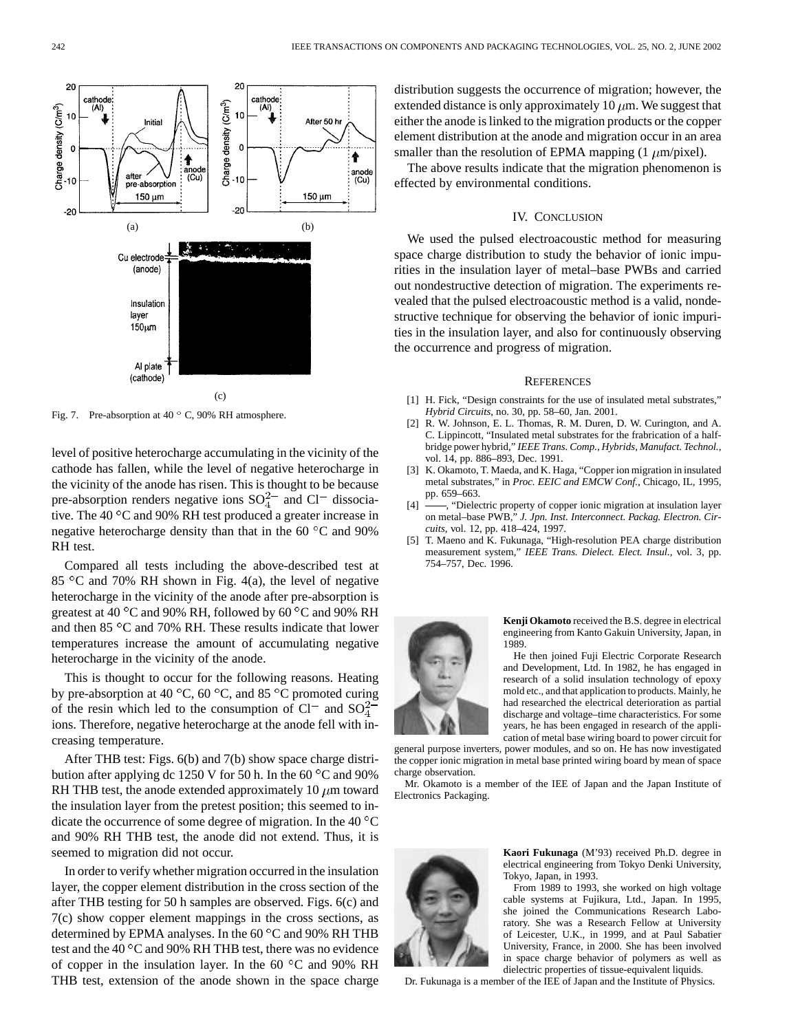

Fig. 7. Pre-absorption at  $40^\circ$  C, 90% RH atmosphere.

level of positive heterocharge accumulating in the vicinity of the cathode has fallen, while the level of negative heterocharge in the vicinity of the anode has risen. This is thought to be because pre-absorption renders negative ions  $SO_4^{2-}$  and  $Cl^-$  dissociative. The 40  $\mathrm{^{\circ}C}$  and 90% RH test produced a greater increase in negative heterocharge density than that in the 60 $\degree$ C and 90% RH test.

Compared all tests including the above-described test at 85 °C and 70% RH shown in Fig. 4(a), the level of negative heterocharge in the vicinity of the anode after pre-absorption is greatest at 40  $\rm{^{\circ}C}$  and 90% RH, followed by 60  $\rm{^{\circ}C}$  and 90% RH and then  $85^{\circ}$ C and  $70\%$  RH. These results indicate that lower temperatures increase the amount of accumulating negative heterocharge in the vicinity of the anode.

This is thought to occur for the following reasons. Heating by pre-absorption at 40 °C, 60 °C, and 85 °C promoted curing of the resin which led to the consumption of Cl<sup>-</sup> and  $SO_4^{2-}$ ions. Therefore, negative heterocharge at the anode fell with increasing temperature.

After THB test: Figs. 6(b) and 7(b) show space charge distribution after applying dc 1250 V for 50 h. In the 60  $^{\circ}$ C and 90% RH THB test, the anode extended approximately 10  $\mu$ m toward the insulation layer from the pretest position; this seemed to indicate the occurrence of some degree of migration. In the 40  $\rm ^{\circ}C$ and 90% RH THB test, the anode did not extend. Thus, it is seemed to migration did not occur.

In order to verify whether migration occurred in the insulation layer, the copper element distribution in the cross section of the after THB testing for 50 h samples are observed. Figs. 6(c) and 7(c) show copper element mappings in the cross sections, as determined by EPMA analyses. In the  $60^{\circ}$ C and 90% RH THB test and the 40 $\mathrm{^{\circ}C}$  and 90% RH THB test, there was no evidence of copper in the insulation layer. In the 60  $^{\circ}$ C and 90% RH THB test, extension of the anode shown in the space charge distribution suggests the occurrence of migration; however, the extended distance is only approximately 10  $\mu$ m. We suggest that either the anode is linked to the migration products or the copper element distribution at the anode and migration occur in an area smaller than the resolution of EPMA mapping  $(1 \mu m/pixel)$ .

The above results indicate that the migration phenomenon is effected by environmental conditions.

## IV. CONCLUSION

We used the pulsed electroacoustic method for measuring space charge distribution to study the behavior of ionic impurities in the insulation layer of metal–base PWBs and carried out nondestructive detection of migration. The experiments revealed that the pulsed electroacoustic method is a valid, nondestructive technique for observing the behavior of ionic impurities in the insulation layer, and also for continuously observing the occurrence and progress of migration.

#### **REFERENCES**

- [1] H. Fick, "Design constraints for the use of insulated metal substrates," *Hybrid Circuits*, no. 30, pp. 58–60, Jan. 2001.
- [2] R. W. Johnson, E. L. Thomas, R. M. Duren, D. W. Curington, and A. C. Lippincott, "Insulated metal substrates for the frabrication of a halfbridge power hybrid," *IEEE Trans. Comp., Hybrids, Manufact. Technol.*, vol. 14, pp. 886–893, Dec. 1991.
- [3] K. Okamoto, T. Maeda, and K. Haga, "Copper ion migration in insulated metal substrates," in *Proc. EEIC and EMCW Conf.*, Chicago, IL, 1995, pp. 659–663.
- [4]  $\rightarrow$  "Dielectric property of copper ionic migration at insulation layer on metal–base PWB," *J. Jpn. Inst. Interconnect. Packag. Electron. Circuits*, vol. 12, pp. 418–424, 1997.
- [5] T. Maeno and K. Fukunaga, "High-resolution PEA charge distribution measurement system," *IEEE Trans. Dielect. Elect. Insul.*, vol. 3, pp. 754–757, Dec. 1996.



**Kenji Okamoto** received the B.S. degree in electrical engineering from Kanto Gakuin University, Japan, in 1989.

He then joined Fuji Electric Corporate Research and Development, Ltd. In 1982, he has engaged in research of a solid insulation technology of epoxy mold etc., and that application to products. Mainly, he had researched the electrical deterioration as partial discharge and voltage–time characteristics. For some years, he has been engaged in research of the application of metal base wiring board to power circuit for

general purpose inverters, power modules, and so on. He has now investigated the copper ionic migration in metal base printed wiring board by mean of space charge observation.

Mr. Okamoto is a member of the IEE of Japan and the Japan Institute of Electronics Packaging.



**Kaori Fukunaga** (M'93) received Ph.D. degree in electrical engineering from Tokyo Denki University, Tokyo, Japan, in 1993.

From 1989 to 1993, she worked on high voltage cable systems at Fujikura, Ltd., Japan. In 1995, she joined the Communications Research Laboratory. She was a Research Fellow at University of Leicester, U.K., in 1999, and at Paul Sabatier University, France, in 2000. She has been involved in space charge behavior of polymers as well as dielectric properties of tissue-equivalent liquids.

Dr. Fukunaga is a member of the IEE of Japan and the Institute of Physics.